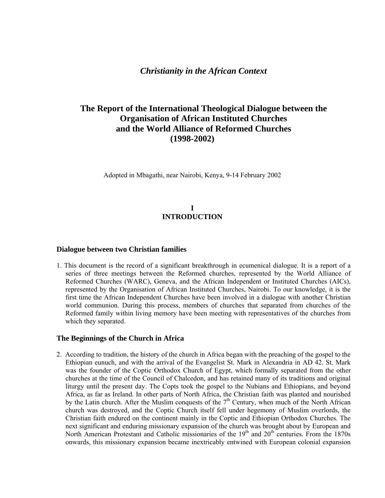# **The Report of the International Theological Dialogue between the Organisation of African Instituted Churches and the World Alliance of Reformed Churches (1998-2002)**

Adopted in Mbagathi, near Nairobi, Kenya, 9-14 February 2002

## **I INTRODUCTION**

### **Dialogue between two Christian families**

1. This document is the record of a significant breakthrough in ecumenical dialogue. It is a report of a series of three meetings between the Reformed churches, represented by the World Alliance of Reformed Churches (WARC), Geneva, and the African Independent or Instituted Churches (AICs), represented by the Organisation of African Instituted Churches, Nairobi. To our knowledge, it is the first time the African Independent Churches have been involved in a dialogue with another Christian world communion. During this process, members of churches that separated from churches of the Reformed family within living memory have been meeting with representatives of the churches from which they separated.

### **The Beginnings of the Church in Africa**

2. According to tradition, the history of the church in Africa began with the preaching of the gospel to the Ethiopian eunuch, and with the arrival of the Evangelist St. Mark in Alexandria in AD 42. St. Mark was the founder of the Coptic Orthodox Church of Egypt, which formally separated from the other churches at the time of the Council of Chalcedon, and has retained many of its traditions and original liturgy until the present day. The Copts took the gospel to the Nubians and Ethiopians, and beyond Africa, as far as Ireland. In other parts of North Africa, the Christian faith was planted and nourished by the Latin church. After the Muslim conquests of the  $7<sup>th</sup>$  Century, when much of the North African church was destroyed, and the Coptic Church itself fell under hegemony of Muslim overlords, the Christian faith endured on the continent mainly in the Coptic and Ethiopian Orthodox Churches. The next significant and enduring missionary expansion of the church was brought about by European and North American Protestant and Catholic missionaries of the 19<sup>th</sup> and 20<sup>th</sup> centuries. From the 1870s onwards, this missionary expansion became inextricably entwined with European colonial expansion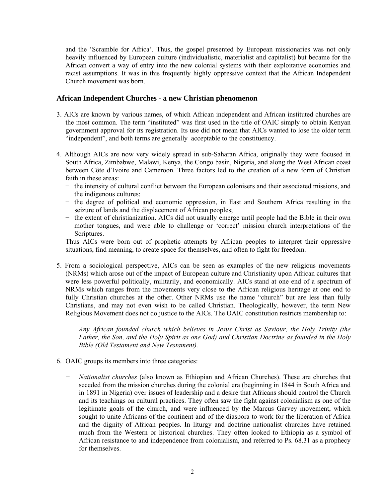and the 'Scramble for Africa'. Thus, the gospel presented by European missionaries was not only heavily influenced by European culture (individualistic, materialist and capitalist) but became for the African convert a way of entry into the new colonial systems with their exploitative economies and racist assumptions. It was in this frequently highly oppressive context that the African Independent Church movement was born.

## **African Independent Churches - a new Christian phenomenon**

- 3. AICs are known by various names, of which African independent and African instituted churches are the most common. The term "instituted" was first used in the title of OAIC simply to obtain Kenyan government approval for its registration. Its use did not mean that AICs wanted to lose the older term "independent", and both terms are generally acceptable to the constituency.
- 4. Although AICs are now very widely spread in sub-Saharan Africa, originally they were focused in South Africa, Zimbabwe, Malawi, Kenya, the Congo basin, Nigeria, and along the West African coast between Côte d'Ivoire and Cameroon. Three factors led to the creation of a new form of Christian faith in these areas:
	- − the intensity of cultural conflict between the European colonisers and their associated missions, and the indigenous cultures;
	- − the degree of political and economic oppression, in East and Southern Africa resulting in the seizure of lands and the displacement of African peoples;
	- − the extent of christianization. AICs did not usually emerge until people had the Bible in their own mother tongues, and were able to challenge or 'correct' mission church interpretations of the Scriptures.

Thus AICs were born out of prophetic attempts by African peoples to interpret their oppressive situations, find meaning, to create space for themselves, and often to fight for freedom.

5. From a sociological perspective, AICs can be seen as examples of the new religious movements (NRMs) which arose out of the impact of European culture and Christianity upon African cultures that were less powerful politically, militarily, and economically. AICs stand at one end of a spectrum of NRMs which ranges from the movements very close to the African religious heritage at one end to fully Christian churches at the other. Other NRMs use the name "church" but are less than fully Christians, and may not even wish to be called Christian. Theologically, however, the term New Religious Movement does not do justice to the AICs. The OAIC constitution restricts membership to:

*Any African founded church which believes in Jesus Christ as Saviour, the Holy Trinity (the Father, the Son, and the Holy Spirit as one God) and Christian Doctrine as founded in the Holy Bible (Old Testament and New Testament).* 

- 6. OAIC groups its members into three categories:
	- *Nationalist churches* (also known as Ethiopian and African Churches). These are churches that seceded from the mission churches during the colonial era (beginning in 1844 in South Africa and in 1891 in Nigeria) over issues of leadership and a desire that Africans should control the Church and its teachings on cultural practices. They often saw the fight against colonialism as one of the legitimate goals of the church, and were influenced by the Marcus Garvey movement, which sought to unite Africans of the continent and of the diaspora to work for the liberation of Africa and the dignity of African peoples. In liturgy and doctrine nationalist churches have retained much from the Western or historical churches. They often looked to Ethiopia as a symbol of African resistance to and independence from colonialism, and referred to Ps. 68.31 as a prophecy for themselves.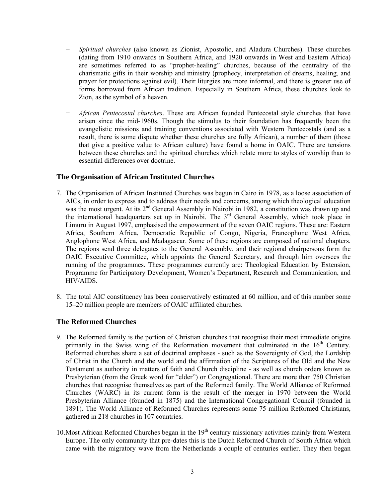- *− Spiritual churches* (also known as Zionist, Apostolic, and Aladura Churches). These churches (dating from 1910 onwards in Southern Africa, and 1920 onwards in West and Eastern Africa) are sometimes referred to as "prophet-healing" churches, because of the centrality of the charismatic gifts in their worship and ministry (prophecy, interpretation of dreams, healing, and prayer for protections against evil). Their liturgies are more informal, and there is greater use of forms borrowed from African tradition. Especially in Southern Africa, these churches look to Zion, as the symbol of a heaven.
- *African Pentecostal churches*. These are African founded Pentecostal style churches that have arisen since the mid-1960s. Though the stimulus to their foundation has frequently been the evangelistic missions and training conventions associated with Western Pentecostals (and as a result, there is some dispute whether these churches are fully African), a number of them (those that give a positive value to African culture) have found a home in OAIC. There are tensions between these churches and the spiritual churches which relate more to styles of worship than to essential differences over doctrine.

## **The Organisation of African Instituted Churches**

- 7. The Organisation of African Instituted Churches was begun in Cairo in 1978, as a loose association of AICs, in order to express and to address their needs and concerns, among which theological education was the most urgent. At its  $2<sup>nd</sup>$  General Assembly in Nairobi in 1982, a constitution was drawn up and the international headquarters set up in Nairobi. The 3<sup>rd</sup> General Assembly, which took place in Limuru in August 1997, emphasised the empowerment of the seven OAIC regions. These are: Eastern Africa, Southern Africa, Democratic Republic of Congo, Nigeria, Francophone West Africa, Anglophone West Africa, and Madagascar. Some of these regions are composed of national chapters. The regions send three delegates to the General Assembly, and their regional chairpersons form the OAIC Executive Committee, which appoints the General Secretary, and through him oversees the running of the programmes. These programmes currently are: Theological Education by Extension, Programme for Participatory Development, Women's Department, Research and Communication, and HIV/AIDS.
- 8. The total AIC constituency has been conservatively estimated at 60 million, and of this number some 15–20 million people are members of OAIC affiliated churches.

## **The Reformed Churches**

- 9. The Reformed family is the portion of Christian churches that recognise their most immediate origins primarily in the Swiss wing of the Reformation movement that culminated in the  $16<sup>th</sup>$  Century. Reformed churches share a set of doctrinal emphases - such as the Sovereignty of God, the Lordship of Christ in the Church and the world and the affirmation of the Scriptures of the Old and the New Testament as authority in matters of faith and Church discipline - as well as church orders known as Presbyterian (from the Greek word for "elder") or Congregational. There are more than 750 Christian churches that recognise themselves as part of the Reformed family. The World Alliance of Reformed Churches (WARC) in its current form is the result of the merger in 1970 between the World Presbyterian Alliance (founded in 1875) and the International Congregational Council (founded in 1891). The World Alliance of Reformed Churches represents some 75 million Reformed Christians, gathered in 218 churches in 107 countries.
- 10. Most African Reformed Churches began in the  $19<sup>th</sup>$  century missionary activities mainly from Western Europe. The only community that pre-dates this is the Dutch Reformed Church of South Africa which came with the migratory wave from the Netherlands a couple of centuries earlier. They then began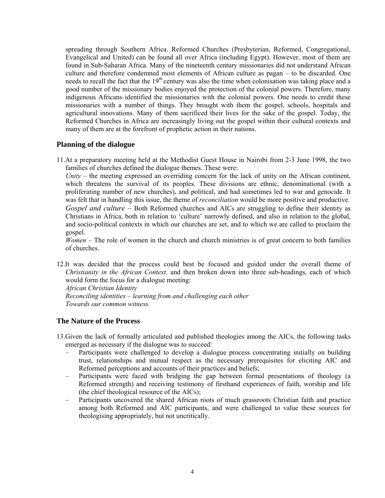spreading through Southern Africa. Reformed Churches (Presbyterian, Reformed, Congregational, Evangelical and United) can be found all over Africa (including Egypt). However, most of them are found in Sub-Saharan Africa. Many of the nineteenth century missionaries did not understand African culture and therefore condemned most elements of African culture as pagan – to be discarded. One needs to recall the fact that the  $19<sup>th</sup>$  century was also the time when colonisation was taking place and a good number of the missionary bodies enjoyed the protection of the colonial powers. Therefore, many indigenous Africans identified the missionaries with the colonial powers. One needs to credit these missionaries with a number of things. They brought with them the gospel, schools, hospitals and agricultural innovations. Many of them sacrificed their lives for the sake of the gospel. Today, the Reformed Churches in Africa are increasingly living out the gospel within their cultural contexts and many of them are at the forefront of prophetic action in their nations.

### **Planning of the dialogue**

11.At a preparatory meeting held at the Methodist Guest House in Nairobi from 2-3 June 1998, the two families of churches defined the dialogue themes. These were:

*Unity* – the meeting expressed an overriding concern for the lack of unity on the African continent, which threatens the survival of its peoples. These divisions are ethnic, denominational (with a proliferating number of new churches), and political, and had sometimes led to war and genocide. It was felt that in handling this issue, the theme of *reconciliation* would be more positive and productive.

*Gospel and culture –* Both Reformed churches and AICs are struggling to define their identity as Christians in Africa, both in relation to 'culture' narrowly defined, and also in relation to the global, and socio-political contexts in which our churches are set, and to which we are called to proclaim the gospel.

*Women* – The role of women in the church and church ministries is of great concern to both families of churches.

12.It was decided that the process could best be focused and guided under the overall theme of *Christianity in the African Context,* and then broken down into three sub-headings, each of which would form the focus for a dialogue meeting:

*African Christian Identity Reconciling identities – learning from and challenging each other Towards our common witness.* 

## **The Nature of the Process**

- 13.Given the lack of formally articulated and published theologies among the AICs, the following tasks emerged as necessary if the dialogue was to succeed:
	- Participants were challenged to develop a dialogue process concentrating initially on building trust, relationships and mutual respect as the necessary prerequisites for eliciting AIC and Reformed perceptions and accounts of their practices and beliefs;
	- Participants were faced with bridging the gap between formal presentations of theology (a Reformed strength) and receiving testimony of firsthand experiences of faith, worship and life (the chief theological resource of the AICs);
	- Participants uncovered the shared African roots of much grassroots Christian faith and practice among both Reformed and AIC participants, and were challenged to value these sources for theologising appropriately, but not uncritically.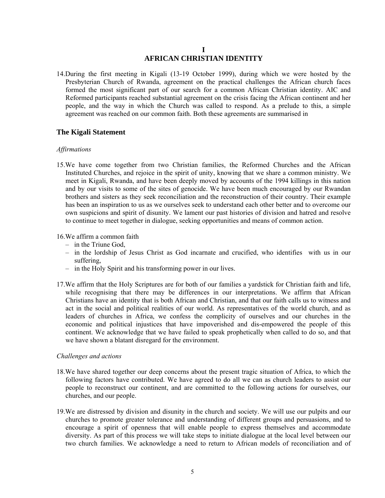## **I AFRICAN CHRISTIAN IDENTITY**

14.During the first meeting in Kigali (13-19 October 1999), during which we were hosted by the Presbyterian Church of Rwanda, agreement on the practical challenges the African church faces formed the most significant part of our search for a common African Christian identity. AIC and Reformed participants reached substantial agreement on the crisis facing the African continent and her people, and the way in which the Church was called to respond. As a prelude to this, a simple agreement was reached on our common faith. Both these agreements are summarised in

### **The Kigali Statement**

### *Affirmations*

15.We have come together from two Christian families, the Reformed Churches and the African Instituted Churches, and rejoice in the spirit of unity, knowing that we share a common ministry. We meet in Kigali, Rwanda, and have been deeply moved by accounts of the 1994 killings in this nation and by our visits to some of the sites of genocide. We have been much encouraged by our Rwandan brothers and sisters as they seek reconciliation and the reconstruction of their country. Their example has been an inspiration to us as we ourselves seek to understand each other better and to overcome our own suspicions and spirit of disunity. We lament our past histories of division and hatred and resolve to continue to meet together in dialogue, seeking opportunities and means of common action.

16.We affirm a common faith

- *–* in the Triune God,
- in the lordship of Jesus Christ as God incarnate and crucified, who identifies with us in our suffering,
- *–* in the Holy Spirit and his transforming power in our lives.
- 17.We affirm that the Holy Scriptures are for both of our families a yardstick for Christian faith and life, while recognising that there may be differences in our interpretations. We affirm that African Christians have an identity that is both African and Christian, and that our faith calls us to witness and act in the social and political realities of our world. As representatives of the world church, and as leaders of churches in Africa, we confess the complicity of ourselves and our churches in the economic and political injustices that have impoverished and dis-empowered the people of this continent. We acknowledge that we have failed to speak prophetically when called to do so, and that we have shown a blatant disregard for the environment.

#### *Challenges and actions*

- 18.We have shared together our deep concerns about the present tragic situation of Africa, to which the following factors have contributed. We have agreed to do all we can as church leaders to assist our people to reconstruct our continent, and are committed to the following actions for ourselves, our churches, and our people.
- 19.We are distressed by division and disunity in the church and society. We will use our pulpits and our churches to promote greater tolerance and understanding of different groups and persuasions, and to encourage a spirit of openness that will enable people to express themselves and accommodate diversity. As part of this process we will take steps to initiate dialogue at the local level between our two church families. We acknowledge a need to return to African models of reconciliation and of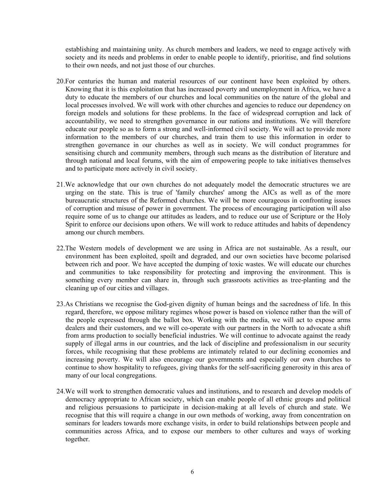establishing and maintaining unity. As church members and leaders, we need to engage actively with society and its needs and problems in order to enable people to identify, prioritise, and find solutions to their own needs, and not just those of our churches.

- 20.For centuries the human and material resources of our continent have been exploited by others. Knowing that it is this exploitation that has increased poverty and unemployment in Africa, we have a duty to educate the members of our churches and local communities on the nature of the global and local processes involved. We will work with other churches and agencies to reduce our dependency on foreign models and solutions for these problems. In the face of widespread corruption and lack of accountability, we need to strengthen governance in our nations and institutions. We will therefore educate our people so as to form a strong and well-informed civil society. We will act to provide more information to the members of our churches, and train them to use this information in order to strengthen governance in our churches as well as in society. We will conduct programmes for sensitising church and community members, through such means as the distribution of literature and through national and local forums, with the aim of empowering people to take initiatives themselves and to participate more actively in civil society.
- 21.We acknowledge that our own churches do not adequately model the democratic structures we are urging on the state. This is true of 'family churches' among the AICs as well as of the more bureaucratic structures of the Reformed churches. We will be more courageous in confronting issues of corruption and misuse of power in government. The process of encouraging participation will also require some of us to change our attitudes as leaders, and to reduce our use of Scripture or the Holy Spirit to enforce our decisions upon others. We will work to reduce attitudes and habits of dependency among our church members.
- 22.The Western models of development we are using in Africa are not sustainable. As a result, our environment has been exploited, spoilt and degraded, and our own societies have become polarised between rich and poor. We have accepted the dumping of toxic wastes. We will educate our churches and communities to take responsibility for protecting and improving the environment. This is something every member can share in, through such grassroots activities as tree-planting and the cleaning up of our cities and villages.
- 23.As Christians we recognise the God-given dignity of human beings and the sacredness of life. In this regard, therefore, we oppose military regimes whose power is based on violence rather than the will of the people expressed through the ballot box. Working with the media, we will act to expose arms dealers and their customers, and we will co-operate with our partners in the North to advocate a shift from arms production to socially beneficial industries. We will continue to advocate against the ready supply of illegal arms in our countries, and the lack of discipline and professionalism in our security forces, while recognising that these problems are intimately related to our declining economies and increasing poverty. We will also encourage our governments and especially our own churches to continue to show hospitality to refugees, giving thanks for the self-sacrificing generosity in this area of many of our local congregations.
- 24.We will work to strengthen democratic values and institutions, and to research and develop models of democracy appropriate to African society, which can enable people of all ethnic groups and political and religious persuasions to participate in decision-making at all levels of church and state. We recognise that this will require a change in our own methods of working, away from concentration on seminars for leaders towards more exchange visits, in order to build relationships between people and communities across Africa, and to expose our members to other cultures and ways of working together.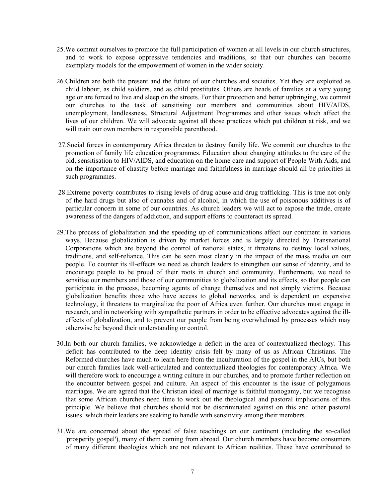- 25.We commit ourselves to promote the full participation of women at all levels in our church structures, and to work to expose oppressive tendencies and traditions, so that our churches can become exemplary models for the empowerment of women in the wider society.
- 26.Children are both the present and the future of our churches and societies. Yet they are exploited as child labour, as child soldiers, and as child prostitutes. Others are heads of families at a very young age or are forced to live and sleep on the streets. For their protection and better upbringing, we commit our churches to the task of sensitising our members and communities about HIV/AIDS, unemployment, landlessness, Structural Adjustment Programmes and other issues which affect the lives of our children. We will advocate against all those practices which put children at risk, and we will train our own members in responsible parenthood.
- 27*.*Social forces in contemporary Africa threaten to destroy family life. We commit our churches to the promotion of family life education programmes. Education about changing attitudes to the care of the old, sensitisation to HIV/AIDS, and education on the home care and support of People With Aids, and on the importance of chastity before marriage and faithfulness in marriage should all be priorities in such programmes.
- 28.Extreme poverty contributes to rising levels of drug abuse and drug trafficking. This is true not only of the hard drugs but also of cannabis and of alcohol, in which the use of poisonous additives is of particular concern in some of our countries. As church leaders we will act to expose the trade, create awareness of the dangers of addiction, and support efforts to counteract its spread.
- 29.The process of globalization and the speeding up of communications affect our continent in various ways. Because globalization is driven by market forces and is largely directed by Transnational Corporations which are beyond the control of national states, it threatens to destroy local values, traditions, and self-reliance. This can be seen most clearly in the impact of the mass media on our people. To counter its ill-effects we need as church leaders to strengthen our sense of identity, and to encourage people to be proud of their roots in church and community. Furthermore, we need to sensitise our members and those of our communities to globalization and its effects, so that people can participate in the process, becoming agents of change themselves and not simply victims. Because globalization benefits those who have access to global networks, and is dependent on expensive technology, it threatens to marginalize the poor of Africa even further. Our churches must engage in research, and in networking with sympathetic partners in order to be effective advocates against the illeffects of globalization, and to prevent our people from being overwhelmed by processes which may otherwise be beyond their understanding or control.
- 30.In both our church families, we acknowledge a deficit in the area of contextualized theology. This deficit has contributed to the deep identity crisis felt by many of us as African Christians. The Reformed churches have much to learn here from the inculturation of the gospel in the AICs, but both our church families lack well-articulated and contextualized theologies for contemporary Africa. We will therefore work to encourage a writing culture in our churches, and to promote further reflection on the encounter between gospel and culture. An aspect of this encounter is the issue of polygamous marriages. We are agreed that the Christian ideal of marriage is faithful monogamy, but we recognise that some African churches need time to work out the theological and pastoral implications of this principle. We believe that churches should not be discriminated against on this and other pastoral issues which their leaders are seeking to handle with sensitivity among their members.
- 31.We are concerned about the spread of false teachings on our continent (including the so-called 'prosperity gospel'), many of them coming from abroad. Our church members have become consumers of many different theologies which are not relevant to African realities. These have contributed to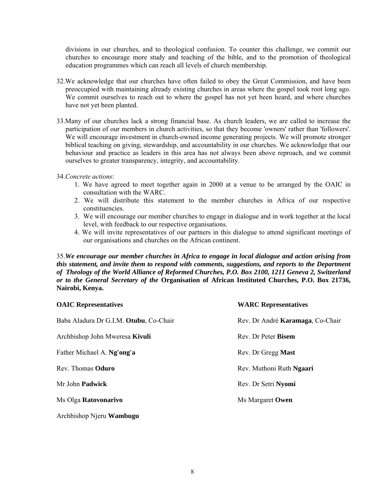divisions in our churches, and to theological confusion. To counter this challenge, we commit our churches to encourage more study and teaching of the bible, and to the promotion of theological education programmes which can reach all levels of church membership.

- 32.We acknowledge that our churches have often failed to obey the Great Commission, and have been preoccupied with maintaining already existing churches in areas where the gospel took root long ago. We commit ourselves to reach out to where the gospel has not yet been heard, and where churches have not yet been planted.
- 33.Many of our churches lack a strong financial base. As church leaders, we are called to increase the participation of our members in church activities, so that they become 'owners' rather than 'followers'. We will encourage investment in church-owned income generating projects. We will promote stronger biblical teaching on giving, stewardship, and accountability in our churches. We acknowledge that our behaviour and practice as leaders in this area has not always been above reproach, and we commit ourselves to greater transparency, integrity, and accountability.
- 34.*Concrete actions*:
	- 1. We have agreed to meet together again in 2000 at a venue to be arranged by the OAIC in consultation with the WARC.
	- 2. We will distribute this statement to the member churches in Africa of our respective constituencies.
	- 3. We will encourage our member churches to engage in dialogue and in work together at the local level, with feedback to our respective organisations.
	- 4. We will invite representatives of our partners in this dialogue to attend significant meetings of our organisations and churches on the African continent.

35.*We encourage our member churches in Africa to engage in local dialogue and action arising from this statement, and invite them to respond with comments, suggestions, and reports to the Department of Theology of the World Alliance of Reformed Churches, P.O. Box 2100, 1211 Geneva 2, Switzerland or to the General Secretary of the* **Organisation of African Instituted Churches, P.O. Box 21736, Nairobi, Kenya.** 

| <b>OAIC Representatives</b>            | <b>WARC Representatives</b>      |
|----------------------------------------|----------------------------------|
| Baba Aladura Dr G.I.M. Otubu, Co-Chair | Rev. Dr André Karamaga, Co-Chair |
| Archbishop John Mweresa Kivuli         | Rev. Dr Peter Bisem              |
| Father Michael A. Ng'ong'a             | Rev. Dr Gregg Mast               |
| Rev. Thomas Oduro                      | Rev. Muthoni Ruth Ngaari         |
| Mr John Padwick                        | Rev. Dr Setri Nyomi              |
| Ms Olga Ratovonarivo                   | Ms Margaret Owen                 |
| Archbishop Njeru Wambugu               |                                  |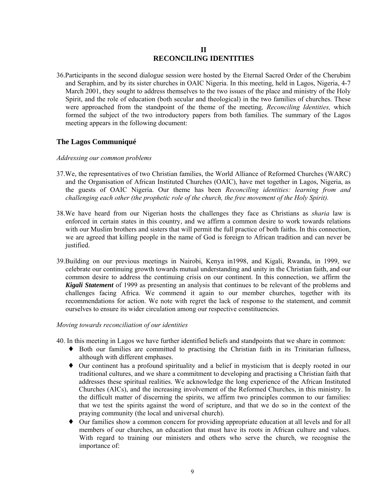## **II RECONCILING IDENTITIES**

36.Participants in the second dialogue session were hosted by the Eternal Sacred Order of the Cherubim and Seraphim, and by its sister churches in OAIC Nigeria. In this meeting, held in Lagos, Nigeria, 4-7 March 2001, they sought to address themselves to the two issues of the place and ministry of the Holy Spirit, and the role of education (both secular and theological) in the two families of churches. These were approached from the standpoint of the theme of the meeting*, Reconciling Identities,* which formed the subject of the two introductory papers from both families. The summary of the Lagos meeting appears in the following document:

## **The Lagos Communiqué**

### *Addressing our common problems*

- 37.We, the representatives of two Christian families, the World Alliance of Reformed Churches (WARC) and the Organisation of African Instituted Churches (OAIC), have met together in Lagos, Nigeria, as the guests of OAIC Nigeria. Our theme has been *Reconciling identities: learning from and challenging each other (the prophetic role of the church, the free movement of the Holy Spirit).*
- 38.We have heard from our Nigerian hosts the challenges they face as Christians as *sharia* law is enforced in certain states in this country, and we affirm a common desire to work towards relations with our Muslim brothers and sisters that will permit the full practice of both faiths. In this connection, we are agreed that killing people in the name of God is foreign to African tradition and can never be justified.
- 39.Building on our previous meetings in Nairobi, Kenya in1998, and Kigali, Rwanda, in 1999, we celebrate our continuing growth towards mutual understanding and unity in the Christian faith, and our common desire to address the continuing crisis on our continent. In this connection, we affirm the *Kigali Statement* of 1999 as presenting an analysis that continues to be relevant of the problems and challenges facing Africa. We commend it again to our member churches, together with its recommendations for action. We note with regret the lack of response to the statement, and commit ourselves to ensure its wider circulation among our respective constituencies.

## *Moving towards reconciliation of our identities*

- 40. In this meeting in Lagos we have further identified beliefs and standpoints that we share in common:
	- ♦ Both our families are committed to practising the Christian faith in its Trinitarian fullness, although with different emphases.
	- ♦ Our continent has a profound spirituality and a belief in mysticism that is deeply rooted in our traditional cultures, and we share a commitment to developing and practising a Christian faith that addresses these spiritual realities. We acknowledge the long experience of the African Instituted Churches (AICs), and the increasing involvement of the Reformed Churches, in this ministry. In the difficult matter of discerning the spirits, we affirm two principles common to our families: that we test the spirits against the word of scripture, and that we do so in the context of the praying community (the local and universal church).
	- ♦ Our families show a common concern for providing appropriate education at all levels and for all members of our churches, an education that must have its roots in African culture and values. With regard to training our ministers and others who serve the church, we recognise the importance of: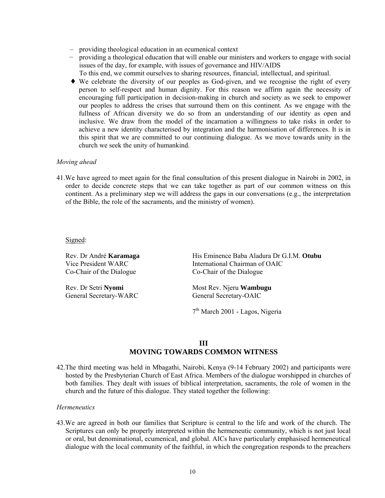- providing theological education in an ecumenical context
- *providing a theological education that will enable our ministers and workers to engage with social* issues of the day, for example, with issues of governance and HIV/AIDS
	- To this end, we commit ourselves to sharing resources, financial, intellectual, and spiritual.
- ♦ We celebrate the diversity of our peoples as God-given, and we recognise the right of every person to self-respect and human dignity. For this reason we affirm again the necessity of encouraging full participation in decision-making in church and society as we seek to empower our peoples to address the crises that surround them on this continent. As we engage with the fullness of African diversity we do so from an understanding of our identity as open and inclusive. We draw from the model of the incarnation a willingness to take risks in order to achieve a new identity characterised by integration and the harmonisation of differences. It is in this spirit that we are committed to our continuing dialogue. As we move towards unity in the church we seek the unity of humankind.

### *Moving ahead*

41.We have agreed to meet again for the final consultation of this present dialogue in Nairobi in 2002, in order to decide concrete steps that we can take together as part of our common witness on this continent. As a preliminary step we will address the gaps in our conversations (e.g., the interpretation of the Bible, the role of the sacraments, and the ministry of women).

Signed:

Co-Chair of the Dialogue Co-Chair of the Dialogue

General Secretary-WARC General Secretary-OAIC

Rev. Dr André **Karamaga** His Eminence Baba Aladura Dr G.I.M. **Otubu** Vice President WARC **International Chairman of OAIC** 

Rev. Dr Setri **Nyomi** Most Rev. Njeru **Wambugu** 

7th March 2001 - Lagos, Nigeria

## **III MOVING TOWARDS COMMON WITNESS**

42.The third meeting was held in Mbagathi, Nairobi, Kenya (9-14 February 2002) and participants were hosted by the Presbyterian Church of East Africa. Members of the dialogue worshipped in churches of both families. They dealt with issues of biblical interpretation, sacraments, the role of women in the church and the future of this dialogue. They stated together the following:

### *Hermeneutics*

43.We are agreed in both our families that Scripture is central to the life and work of the church. The Scriptures can only be properly interpreted within the hermeneutic community, which is not just local or oral, but denominational, ecumenical, and global. AICs have particularly emphasised hermeneutical dialogue with the local community of the faithful, in which the congregation responds to the preachers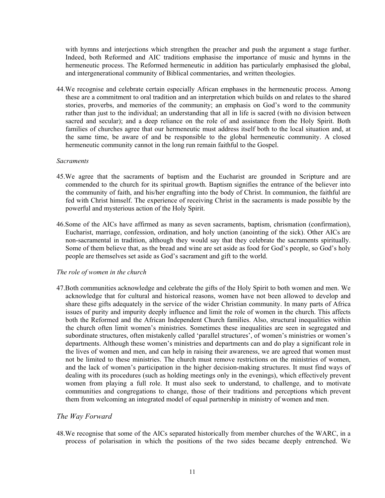with hymns and interjections which strengthen the preacher and push the argument a stage further. Indeed, both Reformed and AIC traditions emphasise the importance of music and hymns in the hermeneutic process. The Reformed hermeneutic in addition has particularly emphasised the global, and intergenerational community of Biblical commentaries, and written theologies.

44.We recognise and celebrate certain especially African emphases in the hermeneutic process. Among these are a commitment to oral tradition and an interpretation which builds on and relates to the shared stories, proverbs, and memories of the community; an emphasis on God's word to the community rather than just to the individual; an understanding that all in life is sacred (with no division between sacred and secular); and a deep reliance on the role of and assistance from the Holy Spirit. Both families of churches agree that our hermeneutic must address itself both to the local situation and, at the same time, be aware of and be responsible to the global hermeneutic community. A closed hermeneutic community cannot in the long run remain faithful to the Gospel.

### *Sacraments*

- 45.We agree that the sacraments of baptism and the Eucharist are grounded in Scripture and are commended to the church for its spiritual growth. Baptism signifies the entrance of the believer into the community of faith, and his/her engrafting into the body of Christ. In communion, the faithful are fed with Christ himself. The experience of receiving Christ in the sacraments is made possible by the powerful and mysterious action of the Holy Spirit.
- 46.Some of the AICs have affirmed as many as seven sacraments, baptism, chrismation (confirmation), Eucharist, marriage, confession, ordination, and holy unction (anointing of the sick). Other AICs are non-sacramental in tradition, although they would say that they celebrate the sacraments spiritually. Some of them believe that, as the bread and wine are set aside as food for God's people, so God's holy people are themselves set aside as God's sacrament and gift to the world.

### *The role of women in the church*

47.Both communities acknowledge and celebrate the gifts of the Holy Spirit to both women and men. We acknowledge that for cultural and historical reasons, women have not been allowed to develop and share these gifts adequately in the service of the wider Christian community. In many parts of Africa issues of purity and impurity deeply influence and limit the role of women in the church. This affects both the Reformed and the African Independent Church families. Also, structural inequalities within the church often limit women's ministries. Sometimes these inequalities are seen in segregated and subordinate structures, often mistakenly called 'parallel structures', of women's ministries or women's departments. Although these women's ministries and departments can and do play a significant role in the lives of women and men, and can help in raising their awareness, we are agreed that women must not be limited to these ministries. The church must remove restrictions on the ministries of women, and the lack of women's participation in the higher decision-making structures. It must find ways of dealing with its procedures (such as holding meetings only in the evenings), which effectively prevent women from playing a full role. It must also seek to understand, to challenge, and to motivate communities and congregations to change, those of their traditions and perceptions which prevent them from welcoming an integrated model of equal partnership in ministry of women and men.

### *The Way Forward*

48.We recognise that some of the AICs separated historically from member churches of the WARC, in a process of polarisation in which the positions of the two sides became deeply entrenched. We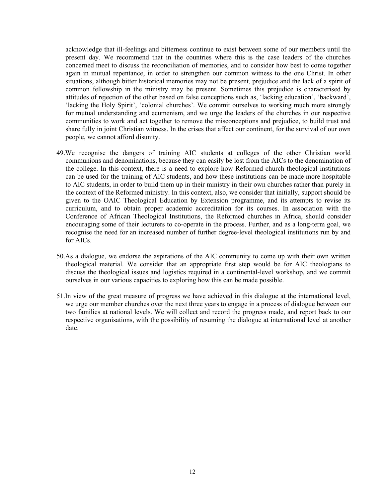acknowledge that ill-feelings and bitterness continue to exist between some of our members until the present day. We recommend that in the countries where this is the case leaders of the churches concerned meet to discuss the reconciliation of memories, and to consider how best to come together again in mutual repentance, in order to strengthen our common witness to the one Christ. In other situations, although bitter historical memories may not be present, prejudice and the lack of a spirit of common fellowship in the ministry may be present. Sometimes this prejudice is characterised by attitudes of rejection of the other based on false conceptions such as, 'lacking education', 'backward', 'lacking the Holy Spirit', 'colonial churches'. We commit ourselves to working much more strongly for mutual understanding and ecumenism, and we urge the leaders of the churches in our respective communities to work and act together to remove the misconceptions and prejudice, to build trust and share fully in joint Christian witness. In the crises that affect our continent, for the survival of our own people, we cannot afford disunity.

- 49.We recognise the dangers of training AIC students at colleges of the other Christian world communions and denominations, because they can easily be lost from the AICs to the denomination of the college. In this context, there is a need to explore how Reformed church theological institutions can be used for the training of AIC students, and how these institutions can be made more hospitable to AIC students, in order to build them up in their ministry in their own churches rather than purely in the context of the Reformed ministry. In this context, also, we consider that initially, support should be given to the OAIC Theological Education by Extension programme, and its attempts to revise its curriculum, and to obtain proper academic accreditation for its courses. In association with the Conference of African Theological Institutions, the Reformed churches in Africa, should consider encouraging some of their lecturers to co-operate in the process. Further, and as a long-term goal, we recognise the need for an increased number of further degree-level theological institutions run by and for AICs.
- 50.As a dialogue, we endorse the aspirations of the AIC community to come up with their own written theological material. We consider that an appropriate first step would be for AIC theologians to discuss the theological issues and logistics required in a continental-level workshop, and we commit ourselves in our various capacities to exploring how this can be made possible.
- 51.In view of the great measure of progress we have achieved in this dialogue at the international level, we urge our member churches over the next three years to engage in a process of dialogue between our two families at national levels. We will collect and record the progress made, and report back to our respective organisations, with the possibility of resuming the dialogue at international level at another date.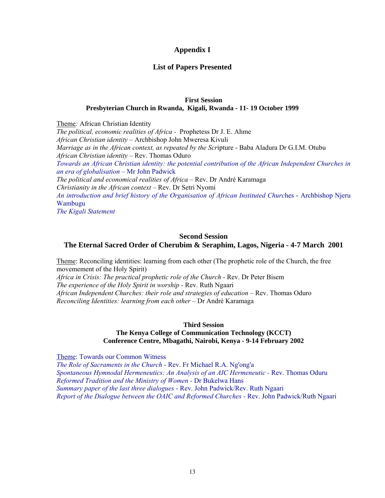## **Appendix I**

## **List of Papers Presented**

### **First Session Presbyterian Church in Rwanda, Kigali, Rwanda - 11- 19 October 1999**

Theme*:* African Christian Identity *The political, economic realities of Africa -* Prophetess Dr J. E. Ahme *African Christian identity* – Archbishop John Mweresa Kivuli *Marriage as in the African context, as repeated by the Scr*ipture - Baba Aladura Dr G.I.M. Otubu *African Christian identity* – Rev. Thomas Oduro *Towards an African Christian identity: the potential contribution of the African Independent Churches in an era of globalisation –* Mr John Padwick *The political and economical realities of Africa –* Rev. Dr André Karamaga *Christianity in the African context –* Rev. Dr Setri Nyomi *An introduction and brief history of the Organisation of African Instituted Churc*hes - Archbishop Njeru Wambugu *The Kigali Statement* 

### **Second Session**

## **The Eternal Sacred Order of Cherubim & Seraphim, Lagos, Nigeria - 4-7 March 2001**

Theme: Reconciling identities: learning from each other (The prophetic role of the Church, the free movemement of the Holy Spirit) *Africa in Crisis: The practical prophetic role of the Church -* Rev. Dr Peter Bisem *The experience of the Holy Spirit in worship -* Rev. Ruth Ngaari *African Independent Churches: their role and strategies of education* – Rev. Thomas Oduro *Reconciling Identities: learning from each other* – Dr André Karamaga

# **Third Session**

### **The Kenya College of Communication Technology (KCCT) Conference Centre, Mbagathi, Nairobi, Kenya - 9-14 February 2002**

Theme: Towards our Common Witness

*The Role of Sacraments in the Church -* Rev. Fr Michael R.A. Ng'ong'a *Spontaneous Hymnodal Hermeneutics: An Analysis of an AIC Hermeneutic -* Rev. Thomas Oduru *Reformed Tradition and the Ministry of Women -* Dr Bukelwa Hans *Summary paper of the last three dialogues* - Rev. John Padwick/Rev. Ruth Ngaari *Report of the Dialogue between the OAIC and Reformed Churches -* Rev. John Padwick/Ruth Ngaari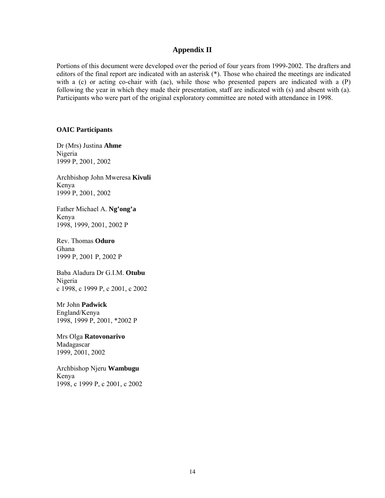### **Appendix II**

Portions of this document were developed over the period of four years from 1999-2002. The drafters and editors of the final report are indicated with an asterisk (\*). Those who chaired the meetings are indicated with a  $(c)$  or acting co-chair with  $(ac)$ , while those who presented papers are indicated with a  $(P)$ following the year in which they made their presentation, staff are indicated with (s) and absent with (a). Participants who were part of the original exploratory committee are noted with attendance in 1998.

### **OAIC Participants**

Dr (Mrs) Justina **Ahme** Nigeria 1999 P, 2001, 2002

Archbishop John Mweresa **Kivuli** Kenya 1999 P, 2001, 2002

Father Michael A. **Ng'ong'a** Kenya 1998, 1999, 2001, 2002 P

Rev. Thomas **Oduro** Ghana 1999 P, 2001 P, 2002 P

Baba Aladura Dr G.I.M. **Otubu**  Nigeria c 1998, c 1999 P, c 2001, c 2002

Mr John **Padwick** England/Kenya 1998, 1999 P, 2001, \*2002 P

Mrs Olga **Ratovonarivo** Madagascar 1999, 2001, 2002

Archbishop Njeru **Wambugu** Kenya 1998, c 1999 P, c 2001, c 2002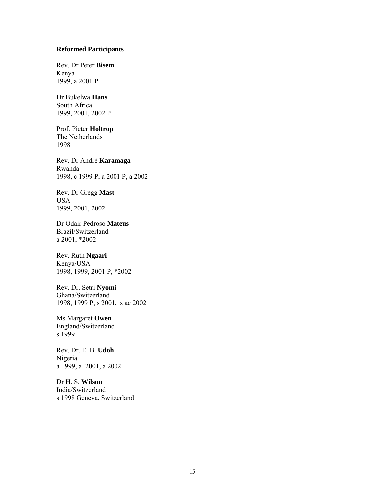### **Reformed Participants**

Rev. Dr Peter **Bisem** Kenya 1999, a 2001 P

Dr Bukelwa **Hans** South Africa 1999, 2001, 2002 P

Prof. Pieter **Holtrop**  The Netherlands 1998

Rev. Dr André **Karamaga**  Rwanda 1998, c 1999 P, a 2001 P, a 2002

Rev. Dr Gregg **Mast** USA 1999, 2001, 2002

Dr Odair Pedroso **Mateus**  Brazil/Switzerland a 2001, \*2002

Rev. Ruth **Ngaari** Kenya/USA 1998, 1999, 2001 P, \*2002

Rev. Dr. Setri **Nyomi**  Ghana/Switzerland 1998, 1999 P, s 2001, s ac 2002

Ms Margaret **Owen**  England/Switzerland s 1999

Rev. Dr. E. B. **Udoh** Nigeria a 1999, a 2001, a 2002

Dr H. S. **Wilson** India/Switzerland s 1998 Geneva, Switzerland